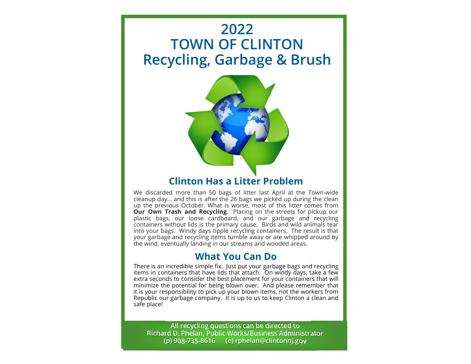# **2022 TOWN OF CLINTON Recycling, Garbage & Brush**



## **Clinton Has a Litter Problem**

We discarded more than 50 bags of litter last April at the Town-wide cleanup day… and this is after the 26 bags we picked up during the clean up the previous October. What is worse, most of this litter comes from **Our Own Trash and Recycling.** Placing on the streets for pickup our plastic bags, our loose cardboard, and our garbage and recycling containers without lids is the primary cause. Birds and wild animals tear into your bags. Windy days tipple recycling containers. The result is that your garbage and recycling items tumble away or are whipped around by the wind, eventually landing in our streams and wooded areas.

### **What You Can Do**

There is an incredible simple fix. Just put your garbage bags and recycling items in containers that have lids that attach. On windy days, take a few extra seconds to consider the best placement for your containers that will minimize the potential for being blown over. And please remember that it is your responsibility to pick up your blown items, not the workers from Republic our garbage company. It is up to us to keep Clinton a clean and safe place!

**All recycling questions can be directed to Richard D. Phelan, Public Works/Business Administrator (p) 908-735-8616 (e) rphelan@clintonnj.gov**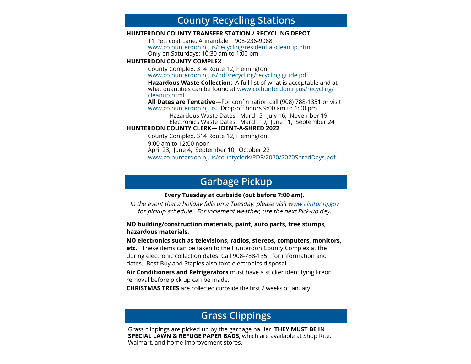#### **County Recycling Stations**

#### **HUNTERDON COUNTY TRANSFER STATION / RECYCLING DEPOT**

11 Petticoat Lane, Annandale 908-236-9088 www.co.hunterdon.nj.us/recycling/residential-cleanup.html Only on Saturdays: 10:30 am to 1:00 pm

#### **HUNTERDON COUNTY COMPLEX**

County Complex, 314 Route 12, Flemington www.co.hunterdon.nj.us/pdf/recycling/recycling guide.pdf

**Hazardous Waste Collection**: A full list of what is acceptable and at what quantities can be found at www.co.hunterdon.nj.us/recycling/ cleanup.html

**All Dates are Tentative**—For confirmation call (908) 788-1351 or visit www.co.hunterdon.nj.us. Drop-off hours 9:00 am to 1:00 pm

Hazardous Waste Dates: March 5, July 16, November 19 Electronics Waste Dates: March 19, June 11, September 24

#### **HUNTERDON COUNTY CLERK— IDENT-A-SHRED 2022**

County Complex, 314 Route 12, Flemington 9:00 am to 12:00 noon April 23, June 4, September 10, October 22 www.co.hunterdon.nj.us/countyclerk/PDF/2020/2020ShredDays.pdf

## **Garbage Pickup**

**Every Tuesday at curbside (out before 7:00 am).**

In the event that a holiday falls on a Tuesday, please visit www.clintonnj.gov for pickup schedule. For inclement weather, use the next Pick-up day.

**NO building/construction materials, paint, auto parts, tree stumps, hazardous materials.**

**NO electronics such as televisions, radios, stereos, computers, monitors, etc.** These items can be taken to the Hunterdon County Complex at the during electronic collection dates. Call 908-788-1351 for information and dates. Best Buy and Staples also take electronics disposal.

**Air Conditioners and Refrigerators** must have a sticker identifying Freon removal before pick up can be made.

**CHRISTMAS TREES** are collected curbside the first 2 weeks of January.

## **Grass Clippings**

Grass clippings are picked up by the garbage hauler. **THEY MUST BE IN SPECIAL LAWN & REFUGE PAPER BAGS**, which are available at Shop Rite, Walmart, and home improvement stores.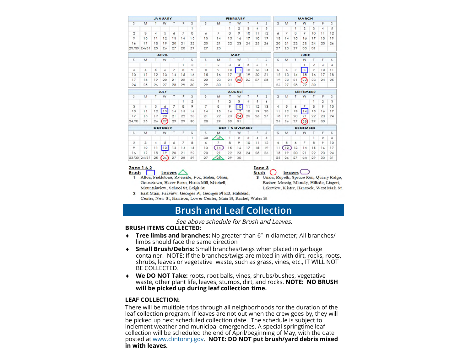| <b>JANUARY</b> |             |              |             |                |    |     | <b>FEBRUARY</b>       |                |    |                |    |    |    | <b>MARCH</b>    |                |          |                  |     |    |    |
|----------------|-------------|--------------|-------------|----------------|----|-----|-----------------------|----------------|----|----------------|----|----|----|-----------------|----------------|----------|------------------|-----|----|----|
| s              | M           | т            | W           | т              | F  | s   | s                     | M              | т  | W              | т  | F  | S  | s               | M              | т        | w                | т   | F  | s  |
|                |             |              |             |                |    |     |                       |                | 1  | $\overline{2}$ | з  | 4  | 5  |                 |                | ٦        | $\overline{2}$   | з   | л  | 5  |
| $\overline{2}$ | 3           | 4            | 5           | 6              | 7  | 8   | 6                     | 7              | 8  | 9              | 10 | п  | 12 | 6               | $\overline{7}$ | 8        | 9                | 10  | 11 | 12 |
| 9              | 10          | 11           | 12          | 13             | 14 | 1.5 | 13                    | 14             | 15 | 16             | 17 | 18 | 19 | 13              | 14             | 15       | 16               | 17  | 18 | 19 |
| 16             | 17          | 18           | 19          | 20             | 21 | 22  | 20                    | 21             | 22 | 23             | 24 | 25 | 26 | 20              | 21             | 22       | 23               | 24  | 25 | 26 |
|                | 23/30 24/31 | 25           | 26          | 27             | 28 | 29  | 27                    | 28             |    |                |    |    |    | 27              | 28             | 29       | 30               | 31  |    |    |
| <b>APRIL</b>   |             |              |             |                |    | MAY |                       |                |    |                |    |    |    | JUNE            |                |          |                  |     |    |    |
| $\mathsf{S}$   | M           | т            | W           | T              | F  | S   | s                     | M              | т  | W              | T  | F  | 5  | s               | M              | т        | W                | т   | F  | s  |
|                |             |              |             |                | ٦. | 2   | ı.                    | $\overline{2}$ | з  | 4              | 5  | 6  | 7  |                 |                |          | ı                | 2   | з  | 4  |
| 3              | 4           | 5            | 6           | $\overline{7}$ | 8  | 9   | 8                     | 9              | 10 | $\mathbf{H}$   | 12 | 13 | 14 | 5               | 6              | 7        | 8                | 9   | 10 | 11 |
| 10             | 11          | 12           | 13          | 14             | 15 | 16  | 15                    | 16             | 17 | 18             | 19 | 20 | 21 | 12              | 13             | 14       | 15               | 16  | 17 | 18 |
| 17             | 18          | 19           | 20          | 21             | 22 | 23  | 22                    | 23             | 24 | (25)           | 26 | 27 | 28 | 19              | 20             | 21       | (22)             | 23  | 24 | 25 |
| 24             | 25          | 26           | 27          | 28             | 29 | 30  | 29                    | 30             | 31 |                |    |    |    | 26              | 27             | 28       | 29               | 30  |    |    |
|                |             |              | <b>JULY</b> |                |    |     |                       |                |    | <b>AUGUST</b>  |    |    |    |                 |                |          | <b>SEPTEMBER</b> |     |    |    |
| S              | M           | т            | W           | T              | F  | S   | s                     | M              | т  | W              | т  | F  | S  | s               | M              | т        | W                | т   | F  | s  |
|                |             |              |             |                | T. | 2   |                       | ı.             | 2  | з              | 4  | 5. | á  |                 |                |          |                  |     | 2  | 3  |
| з              | 4           | 5            | $6 -$       | $\overline{7}$ | 8  | 9   | $\overline{z}$        | 8              | 9  | 10             | 11 | 12 | 13 | 4               | 5              | 6        | $\overline{7}$   | 8   | 9  | 10 |
| 10             | 11          | 12           | 13          | 1.4            | 15 | 16  | 14                    | 1.5            | 16 | 17             | 18 | 19 | 20 | 11              | 12             | 13       | 14               | 15  | 16 | 17 |
| 17             | 18          | 19           | 20          | 21             | 22 | 23  | 21                    | 22             | 23 | (24)           | 25 | 26 | 27 | 18              | 19             | $20^{1}$ | 21               | 22  | 23 | 24 |
| 24/31          | 25          | 26           | (27)        | 29             | 29 | 30  | 28                    | 29             | 30 | 31             |    |    |    | 25              | 26             | 27       | $^{28}$          | 29  | 30 |    |
| <b>OCTOBER</b> |             |              |             |                |    |     | <b>OCT / NOVEMBER</b> |                |    |                |    |    |    | <b>DECEMBER</b> |                |          |                  |     |    |    |
| S              | M           | $\mathsf{L}$ | W           | T              | F  | s   | s                     | M              | т  | W              | т  | F  | s  | 5               | M              | т        | W                | т   | F  | s  |
|                |             |              |             |                |    | ı   | 30                    | 3 <sup>h</sup> | T  | $\overline{2}$ | 3  | 4  | 5  |                 |                |          |                  |     | 2  | 3  |
| $\mathbf{2}$   | 3           | 4            | 5           | 6              | 7  | 8   | 6                     | 7              | 8  | 9              | 10 | 11 | 12 | 4               | 5              | 6        | $\overline{7}$   | 8   | 9  | 10 |
| 9              | 10          | 11           | 12          | 13             | 14 | 15  | 13                    | (14)           | 15 | 16             | 17 | 18 | 19 | 11              | 12             | 13       | 14               | 1.5 | 16 | 17 |
| 16             | 17          | 18           | 19          | 20             | 21 | 22  | 20                    | 21             | 22 | 23             | 24 | 25 | 26 | 18              | 19             | 20       | 21               | 22  | 23 | 24 |
|                | 23/30 24/31 | 25           | (26)        | 27             | 28 | 29  | 27                    | 28             | 29 | 30             |    |    |    | 25              | 26             | 27       | 28               | 29  | 30 | 31 |

 $Zone 18.2$ 

Brush  $\Box$  Leaves 1 Alton, Fieldstone, Riverside, Fox. Helen, Olsen, Goosetown, Haver Farm, Hunts Mill, Mitchell, Mountainview, School St, Leigh St.



- Busher, Messig, Marudy, Hillside, Lingert, Lakeview, Kinter, Hancock, West Main St.
- 2 East Main, Fairview, Georges Pl, Georges Pl Ext, Halstead, Center, New St, Harrison, Lower Center, Main St, Rachel, Water St

## **Brush and Leaf Collection**

See above schedule for Brush and Leaves.

#### **BRUSH ITEMS COLLECTED:**

- **Tree limbs and branches:** No greater than 6" in diameter; All branches/ limbs should face the same direction
- **Small Brush/Debris:** Small branches/twigs when placed in garbage container. NOTE: If the branches/twigs are mixed in with dirt, rocks, roots, shrubs, leaves or vegetative waste, such as grass, vines, etc., IT WILL NOT BE COLLECTED.
- **We DO NOT Take:** roots, root balls, vines, shrubs/bushes, vegetative waste, other plant life, leaves, stumps, dirt, and rocks. **NOTE: NO BRUSH will be picked up during leaf collection time.**

#### **LEAF COLLECTION:**

There will be multiple trips through all neighborhoods for the duration of the leaf collection program. If leaves are not out when the crew goes by, they will be picked up next scheduled collection date. The schedule is subject to inclement weather and municipal emergencies. A special springtime leaf collection will be scheduled the end of April/beginning of May, with the date posted at www.clintonnj.gov. **NOTE: DO NOT put brush/yard debris mixed in with leaves.**